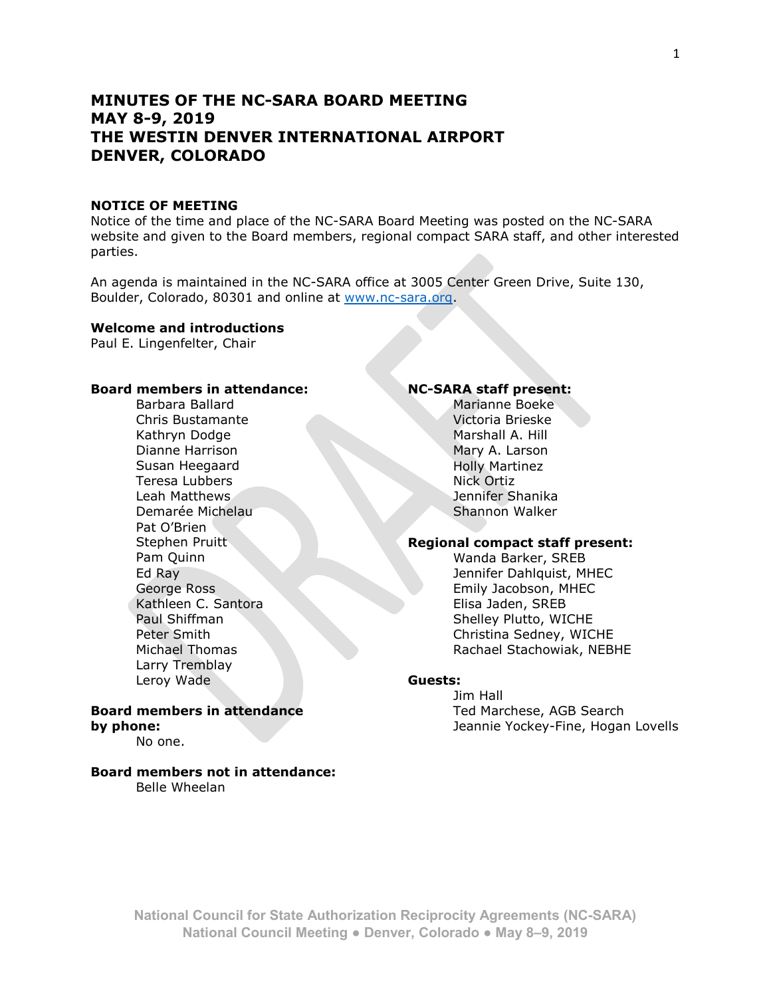# **MINUTES OF THE NC-SARA BOARD MEETING MAY 8-9, 2019 THE WESTIN DENVER INTERNATIONAL AIRPORT DENVER, COLORADO**

### **NOTICE OF MEETING**

Notice of the time and place of the NC-SARA Board Meeting was posted on the NC-SARA website and given to the Board members, regional compact SARA staff, and other interested parties.

An agenda is maintained in the NC-SARA office at 3005 Center Green Drive, Suite 130, Boulder, Colorado, 80301 and online at [www.nc-sara.org.](http://www.nc-sara.org/)

### **Welcome and introductions**

Paul E. Lingenfelter, Chair

#### **Board members in attendance:**

Barbara Ballard Chris Bustamante Kathryn Dodge Dianne Harrison Susan Heegaard Teresa Lubbers Leah Matthews Demarée Michelau Pat O'Brien Stephen Pruitt Pam Quinn Ed Ray George Ross Kathleen C. Santora Paul Shiffman Peter Smith Michael Thomas Larry Tremblay Leroy Wade

#### **Board members in attendance by phone:** No one.

# **Board members not in attendance:**

Belle Wheelan

# **NC-SARA staff present:**

Marianne Boeke Victoria Brieske Marshall A. Hill Mary A. Larson Holly Martinez Nick Ortiz Jennifer Shanika Shannon Walker

### **Regional compact staff present:**

Wanda Barker, SREB Jennifer Dahlquist, MHEC Emily Jacobson, MHEC Elisa Jaden, SREB Shelley Plutto, WICHE Christina Sedney, WICHE Rachael Stachowiak, NEBHE

#### **Guests:**

Jim Hall Ted Marchese, AGB Search Jeannie Yockey-Fine, Hogan Lovells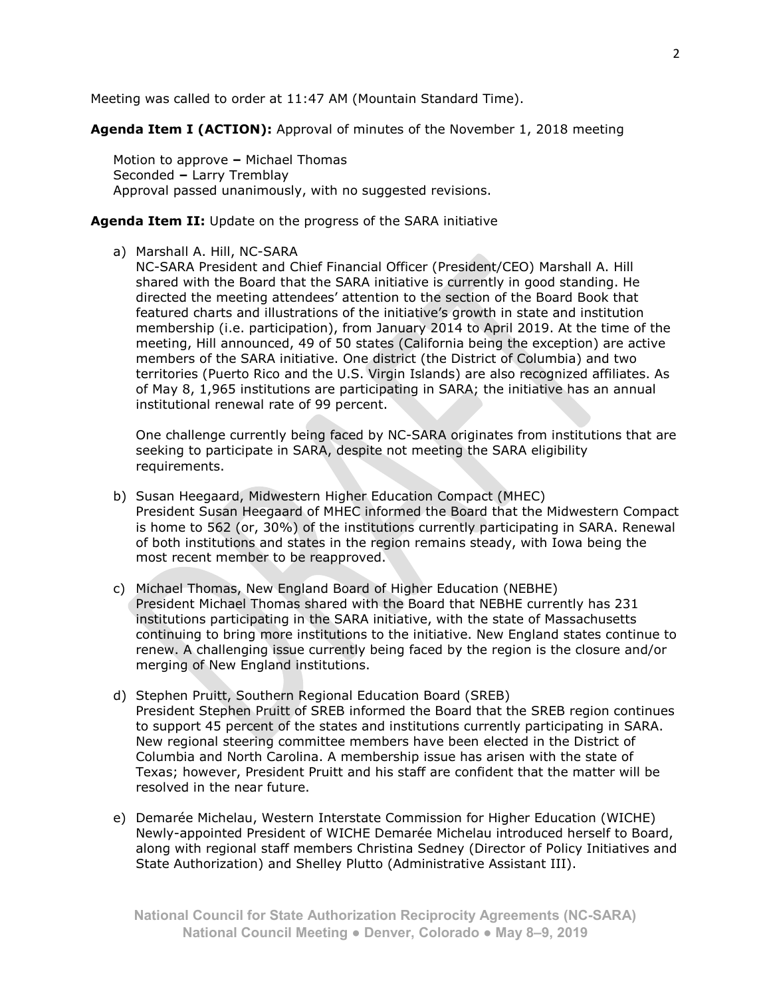Meeting was called to order at 11:47 AM (Mountain Standard Time).

**Agenda Item I (ACTION):** Approval of minutes of the November 1, 2018 meeting

Motion to approve **‒** Michael Thomas Seconded **‒** Larry Tremblay Approval passed unanimously, with no suggested revisions.

### **Agenda Item II:** Update on the progress of the SARA initiative

# a) Marshall A. Hill, NC-SARA

NC-SARA President and Chief Financial Officer (President/CEO) Marshall A. Hill shared with the Board that the SARA initiative is currently in good standing. He directed the meeting attendees' attention to the section of the Board Book that featured charts and illustrations of the initiative's growth in state and institution membership (i.e. participation), from January 2014 to April 2019. At the time of the meeting, Hill announced, 49 of 50 states (California being the exception) are active members of the SARA initiative. One district (the District of Columbia) and two territories (Puerto Rico and the U.S. Virgin Islands) are also recognized affiliates. As of May 8, 1,965 institutions are participating in SARA; the initiative has an annual institutional renewal rate of 99 percent.

One challenge currently being faced by NC-SARA originates from institutions that are seeking to participate in SARA, despite not meeting the SARA eligibility requirements.

- b) Susan Heegaard, Midwestern Higher Education Compact (MHEC) President Susan Heegaard of MHEC informed the Board that the Midwestern Compact is home to 562 (or, 30%) of the institutions currently participating in SARA. Renewal of both institutions and states in the region remains steady, with Iowa being the most recent member to be reapproved.
- c) Michael Thomas, New England Board of Higher Education (NEBHE) President Michael Thomas shared with the Board that NEBHE currently has 231 institutions participating in the SARA initiative, with the state of Massachusetts continuing to bring more institutions to the initiative. New England states continue to renew. A challenging issue currently being faced by the region is the closure and/or merging of New England institutions.
- d) Stephen Pruitt, Southern Regional Education Board (SREB) President Stephen Pruitt of SREB informed the Board that the SREB region continues to support 45 percent of the states and institutions currently participating in SARA. New regional steering committee members have been elected in the District of Columbia and North Carolina. A membership issue has arisen with the state of Texas; however, President Pruitt and his staff are confident that the matter will be resolved in the near future.
- e) Demarée Michelau, Western Interstate Commission for Higher Education (WICHE) Newly-appointed President of WICHE Demarée Michelau introduced herself to Board, along with regional staff members Christina Sedney (Director of Policy Initiatives and State Authorization) and Shelley Plutto (Administrative Assistant III).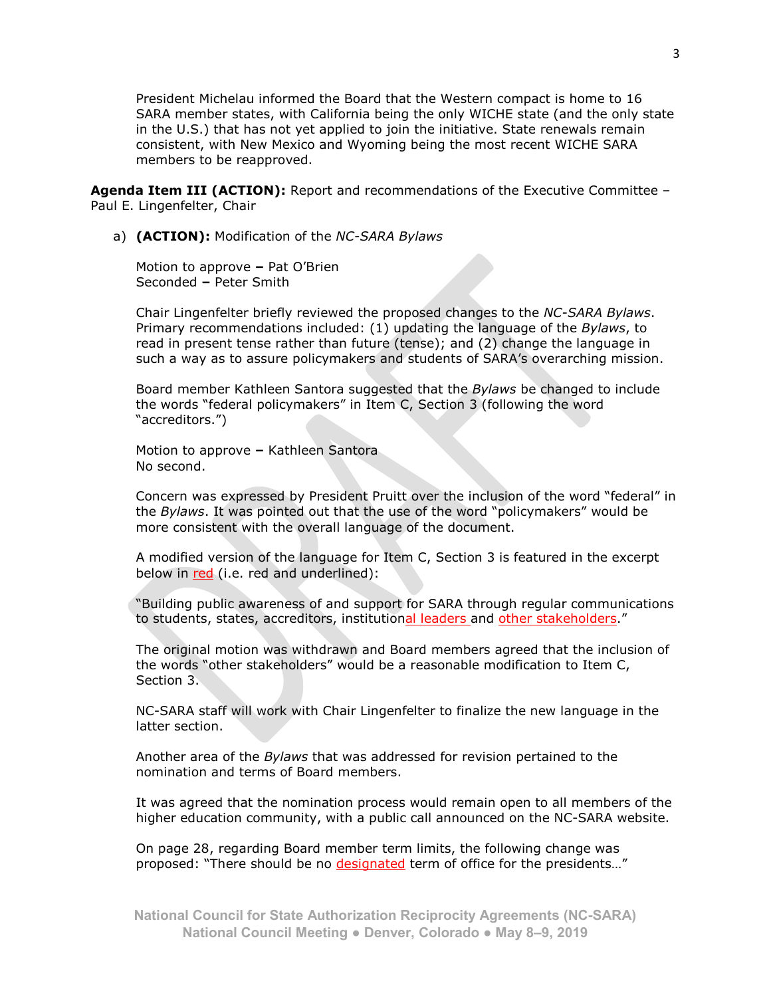President Michelau informed the Board that the Western compact is home to 16 SARA member states, with California being the only WICHE state (and the only state in the U.S.) that has not yet applied to join the initiative. State renewals remain consistent, with New Mexico and Wyoming being the most recent WICHE SARA members to be reapproved.

**Agenda Item III (ACTION):** Report and recommendations of the Executive Committee – Paul E. Lingenfelter, Chair

a) **(ACTION):** Modification of the *NC-SARA Bylaws*

Motion to approve **‒** Pat O'Brien Seconded **‒** Peter Smith

Chair Lingenfelter briefly reviewed the proposed changes to the *NC-SARA Bylaws*. Primary recommendations included: (1) updating the language of the *Bylaws*, to read in present tense rather than future (tense); and (2) change the language in such a way as to assure policymakers and students of SARA's overarching mission.

Board member Kathleen Santora suggested that the *Bylaws* be changed to include the words "federal policymakers" in Item C, Section 3 (following the word "accreditors.")

Motion to approve **‒** Kathleen Santora No second.

Concern was expressed by President Pruitt over the inclusion of the word "federal" in the *Bylaws*. It was pointed out that the use of the word "policymakers" would be more consistent with the overall language of the document.

A modified version of the language for Item C, Section 3 is featured in the excerpt below in red (i.e. red and underlined):

"Building public awareness of and support for SARA through regular communications to students, states, accreditors, institutional leaders and other stakeholders."

The original motion was withdrawn and Board members agreed that the inclusion of the words "other stakeholders" would be a reasonable modification to Item C, Section 3.

NC-SARA staff will work with Chair Lingenfelter to finalize the new language in the latter section.

Another area of the *Bylaws* that was addressed for revision pertained to the nomination and terms of Board members.

It was agreed that the nomination process would remain open to all members of the higher education community, with a public call announced on the NC-SARA website.

On page 28, regarding Board member term limits, the following change was proposed: "There should be no designated term of office for the presidents..."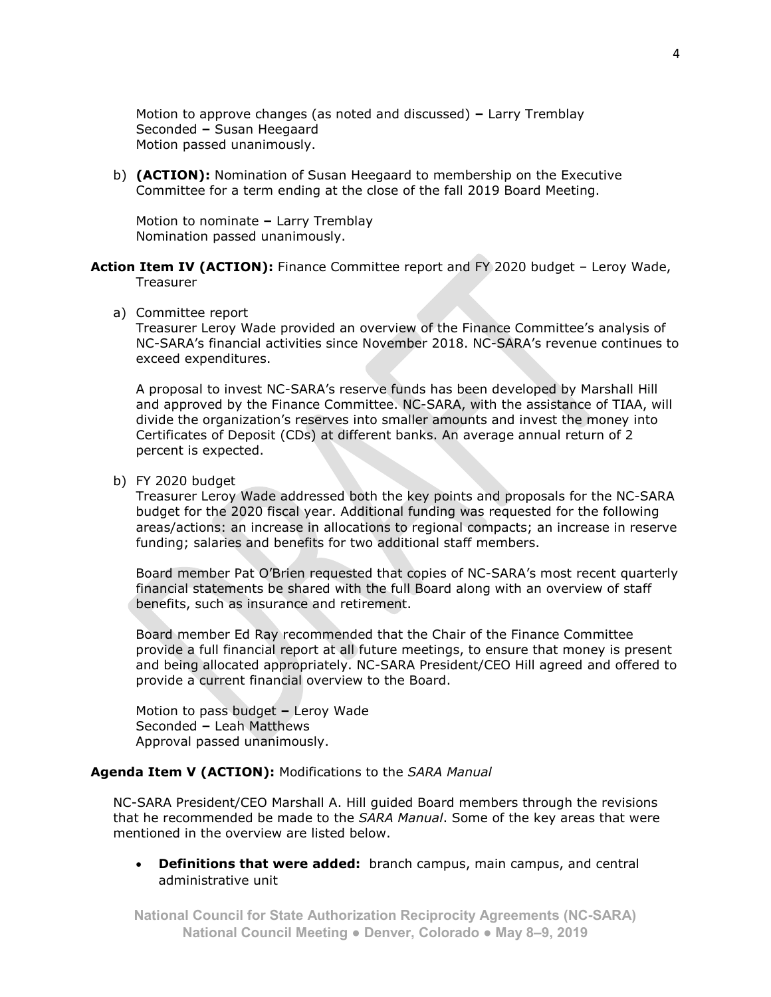Motion to approve changes (as noted and discussed) **‒** Larry Tremblay Seconded **‒** Susan Heegaard Motion passed unanimously.

b) **(ACTION):** Nomination of Susan Heegaard to membership on the Executive Committee for a term ending at the close of the fall 2019 Board Meeting.

Motion to nominate - Larry Tremblay Nomination passed unanimously.

- Action Item IV (ACTION): Finance Committee report and FY 2020 budget Leroy Wade, Treasurer
	- a) Committee report

Treasurer Leroy Wade provided an overview of the Finance Committee's analysis of NC-SARA's financial activities since November 2018. NC-SARA's revenue continues to exceed expenditures.

A proposal to invest NC-SARA's reserve funds has been developed by Marshall Hill and approved by the Finance Committee. NC-SARA, with the assistance of TIAA, will divide the organization's reserves into smaller amounts and invest the money into Certificates of Deposit (CDs) at different banks. An average annual return of 2 percent is expected.

b) FY 2020 budget

Treasurer Leroy Wade addressed both the key points and proposals for the NC-SARA budget for the 2020 fiscal year. Additional funding was requested for the following areas/actions: an increase in allocations to regional compacts; an increase in reserve funding; salaries and benefits for two additional staff members.

Board member Pat O'Brien requested that copies of NC-SARA's most recent quarterly financial statements be shared with the full Board along with an overview of staff benefits, such as insurance and retirement.

Board member Ed Ray recommended that the Chair of the Finance Committee provide a full financial report at all future meetings, to ensure that money is present and being allocated appropriately. NC-SARA President/CEO Hill agreed and offered to provide a current financial overview to the Board.

Motion to pass budget **‒** Leroy Wade Seconded **‒** Leah Matthews Approval passed unanimously.

### **Agenda Item V (ACTION):** Modifications to the *SARA Manual*

NC-SARA President/CEO Marshall A. Hill guided Board members through the revisions that he recommended be made to the *SARA Manual*. Some of the key areas that were mentioned in the overview are listed below.

• **Definitions that were added:** branch campus, main campus, and central administrative unit

**National Council for State Authorization Reciprocity Agreements (NC-SARA) National Council Meeting ● Denver, Colorado ● May 8‒9, 2019**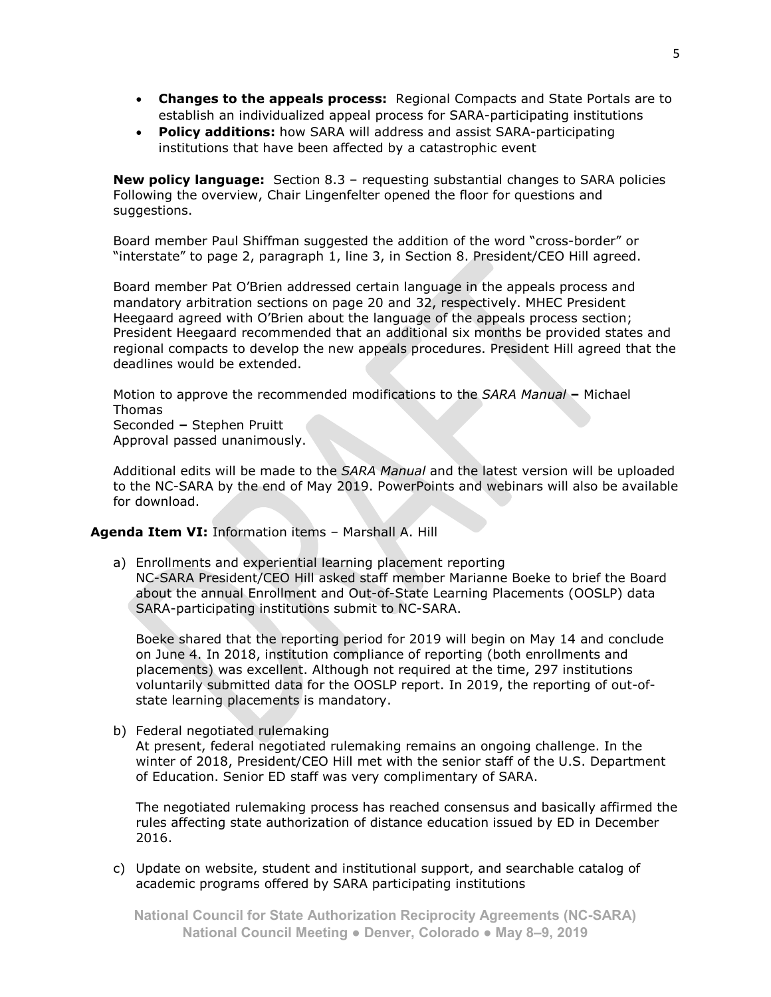- **Changes to the appeals process:** Regional Compacts and State Portals are to establish an individualized appeal process for SARA-participating institutions
- **Policy additions:** how SARA will address and assist SARA-participating institutions that have been affected by a catastrophic event

**New policy language:** Section 8.3 – requesting substantial changes to SARA policies Following the overview, Chair Lingenfelter opened the floor for questions and suggestions.

Board member Paul Shiffman suggested the addition of the word "cross-border" or "interstate" to page 2, paragraph 1, line 3, in Section 8. President/CEO Hill agreed.

Board member Pat O'Brien addressed certain language in the appeals process and mandatory arbitration sections on page 20 and 32, respectively. MHEC President Heegaard agreed with O'Brien about the language of the appeals process section; President Heegaard recommended that an additional six months be provided states and regional compacts to develop the new appeals procedures. President Hill agreed that the deadlines would be extended.

Motion to approve the recommended modifications to the *SARA Manual* **‒** Michael Thomas Seconded **‒** Stephen Pruitt Approval passed unanimously.

Additional edits will be made to the *SARA Manual* and the latest version will be uploaded to the NC-SARA by the end of May 2019. PowerPoints and webinars will also be available for download.

### Agenda Item VI: Information items - Marshall A. Hill

a) Enrollments and experiential learning placement reporting NC-SARA President/CEO Hill asked staff member Marianne Boeke to brief the Board about the annual Enrollment and Out-of-State Learning Placements (OOSLP) data SARA-participating institutions submit to NC-SARA.

Boeke shared that the reporting period for 2019 will begin on May 14 and conclude on June 4. In 2018, institution compliance of reporting (both enrollments and placements) was excellent. Although not required at the time, 297 institutions voluntarily submitted data for the OOSLP report. In 2019, the reporting of out-ofstate learning placements is mandatory.

b) Federal negotiated rulemaking

At present, federal negotiated rulemaking remains an ongoing challenge. In the winter of 2018, President/CEO Hill met with the senior staff of the U.S. Department of Education. Senior ED staff was very complimentary of SARA.

The negotiated rulemaking process has reached consensus and basically affirmed the rules affecting state authorization of distance education issued by ED in December 2016.

c) Update on website, student and institutional support, and searchable catalog of academic programs offered by SARA participating institutions

**National Council for State Authorization Reciprocity Agreements (NC-SARA) National Council Meeting ● Denver, Colorado ● May 8‒9, 2019**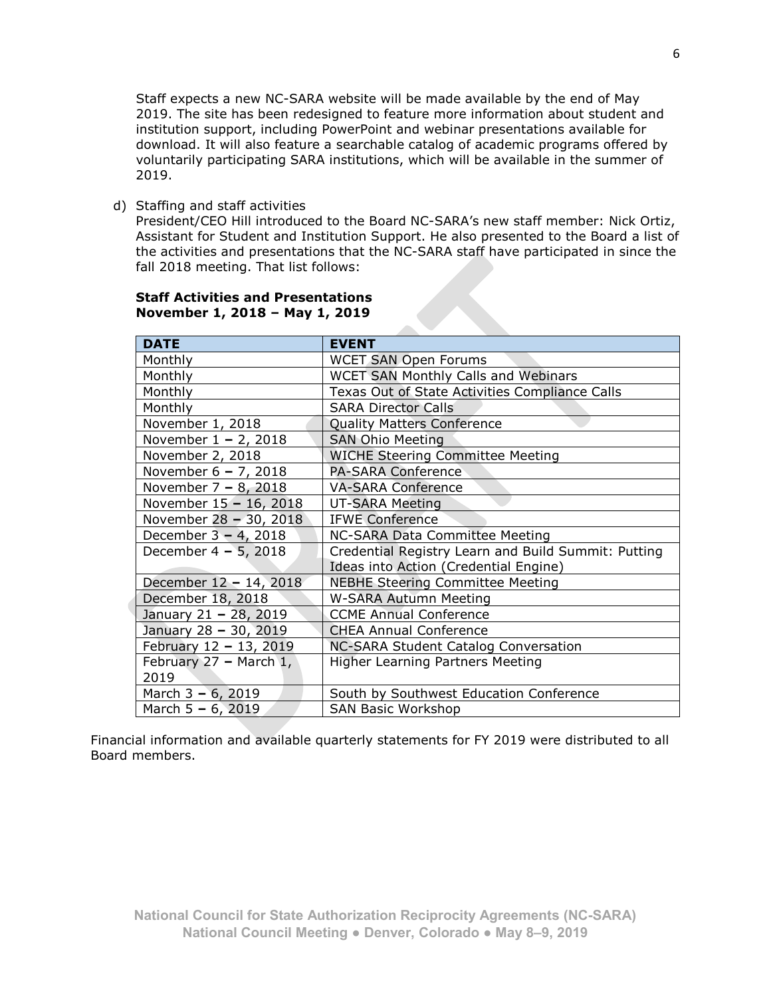Staff expects a new NC-SARA website will be made available by the end of May 2019. The site has been redesigned to feature more information about student and institution support, including PowerPoint and webinar presentations available for download. It will also feature a searchable catalog of academic programs offered by voluntarily participating SARA institutions, which will be available in the summer of 2019.

d) Staffing and staff activities

President/CEO Hill introduced to the Board NC-SARA's new staff member: Nick Ortiz, Assistant for Student and Institution Support. He also presented to the Board a list of the activities and presentations that the NC-SARA staff have participated in since the fall 2018 meeting. That list follows:

| <b>DATE</b>              | <b>EVENT</b>                                        |
|--------------------------|-----------------------------------------------------|
| Monthly                  | <b>WCET SAN Open Forums</b>                         |
| Monthly                  | <b>WCET SAN Monthly Calls and Webinars</b>          |
| Monthly                  | Texas Out of State Activities Compliance Calls      |
| Monthly                  | <b>SARA Director Calls</b>                          |
| November 1, 2018         | <b>Quality Matters Conference</b>                   |
| November $1 - 2$ , 2018  | <b>SAN Ohio Meeting</b>                             |
| November 2, 2018         | <b>WICHE Steering Committee Meeting</b>             |
| November 6 - 7, 2018     | <b>PA-SARA Conference</b>                           |
| November 7 - 8, 2018     | <b>VA-SARA Conference</b>                           |
| November 15 - 16, 2018   | <b>UT-SARA Meeting</b>                              |
| November 28 - 30, 2018   | <b>IFWE Conference</b>                              |
| December $3 - 4$ , 2018  | NC-SARA Data Committee Meeting                      |
| December $4 - 5$ , 2018  | Credential Registry Learn and Build Summit: Putting |
|                          | Ideas into Action (Credential Engine)               |
| December 12 - 14, 2018   | <b>NEBHE Steering Committee Meeting</b>             |
| December 18, 2018        | <b>W-SARA Autumn Meeting</b>                        |
| January 21 - 28, 2019    | <b>CCME Annual Conference</b>                       |
| January 28 - 30, 2019    | <b>CHEA Annual Conference</b>                       |
| February 12 - 13, 2019   | NC-SARA Student Catalog Conversation                |
| February $27 -$ March 1, | <b>Higher Learning Partners Meeting</b>             |
| 2019                     |                                                     |
| March $3 - 6$ , 2019     | South by Southwest Education Conference             |
| March $5 - 6$ , 2019     | <b>SAN Basic Workshop</b>                           |

### **Staff Activities and Presentations November 1, 2018 – May 1, 2019**

Financial information and available quarterly statements for FY 2019 were distributed to all Board members.